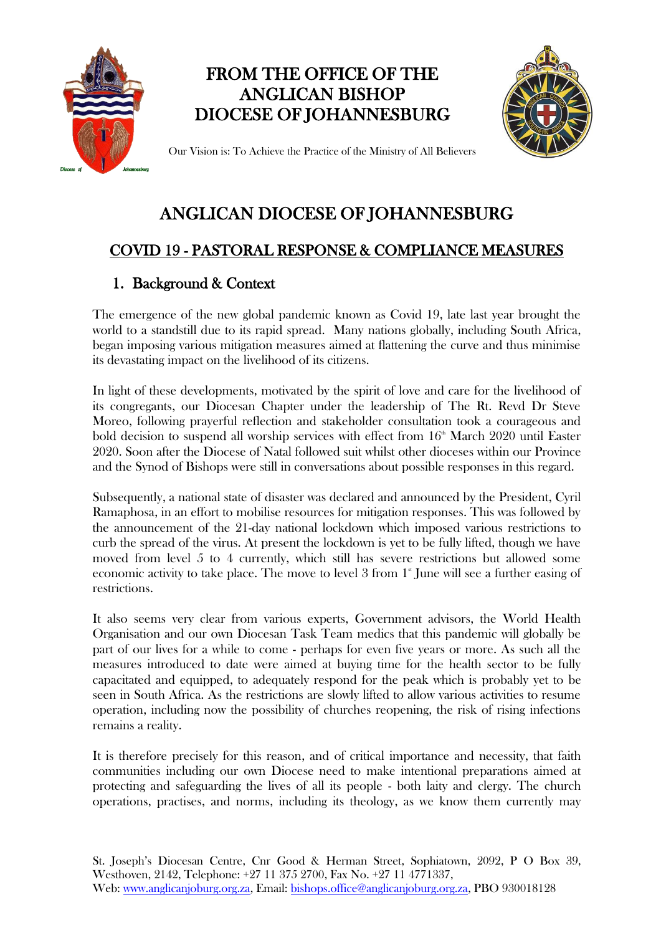

## FROM THE OFFICE OF THE ANGLICAN BISHOP DIOCESE OF JOHANNESBURG



Our Vision is: To Achieve the Practice of the Ministry of All Believers

# ANGLICAN DIOCESE OF JOHANNESBURG

## COVID 19 - PASTORAL RESPONSE & COMPLIANCE MEASURES

## 1. Background & Context

The emergence of the new global pandemic known as Covid 19, late last year brought the world to a standstill due to its rapid spread. Many nations globally, including South Africa, began imposing various mitigation measures aimed at flattening the curve and thus minimise its devastating impact on the livelihood of its citizens.

In light of these developments, motivated by the spirit of love and care for the livelihood of its congregants, our Diocesan Chapter under the leadership of The Rt. Revd Dr Steve Moreo, following prayerful reflection and stakeholder consultation took a courageous and bold decision to suspend all worship services with effect from  $16<sup>th</sup>$  March 2020 until Easter 2020. Soon after the Diocese of Natal followed suit whilst other dioceses within our Province and the Synod of Bishops were still in conversations about possible responses in this regard.

Subsequently, a national state of disaster was declared and announced by the President, Cyril Ramaphosa, in an effort to mobilise resources for mitigation responses. This was followed by the announcement of the 21-day national lockdown which imposed various restrictions to curb the spread of the virus. At present the lockdown is yet to be fully lifted, though we have moved from level 5 to 4 currently, which still has severe restrictions but allowed some economic activity to take place. The move to level 3 from  $1^{\circ}$  June will see a further easing of restrictions.

It also seems very clear from various experts, Government advisors, the World Health Organisation and our own Diocesan Task Team medics that this pandemic will globally be part of our lives for a while to come - perhaps for even five years or more. As such all the measures introduced to date were aimed at buying time for the health sector to be fully capacitated and equipped, to adequately respond for the peak which is probably yet to be seen in South Africa. As the restrictions are slowly lifted to allow various activities to resume operation, including now the possibility of churches reopening, the risk of rising infections remains a reality.

It is therefore precisely for this reason, and of critical importance and necessity, that faith communities including our own Diocese need to make intentional preparations aimed at protecting and safeguarding the lives of all its people - both laity and clergy. The church operations, practises, and norms, including its theology, as we know them currently may

St. Joseph's Diocesan Centre, Cnr Good & Herman Street, Sophiatown, 2092, P O Box 39, Westhoven, 2142, Telephone: +27 11 375 2700, Fax No. +27 11 4771337, Web: [www.anglicanjoburg.org.za,](http://www.anglicanjoburg.org.za/) Email: [bishops.office@anglicanjoburg.org.za,](mailto:bishops.office@anglicanjoburg.org.za) PBO 930018128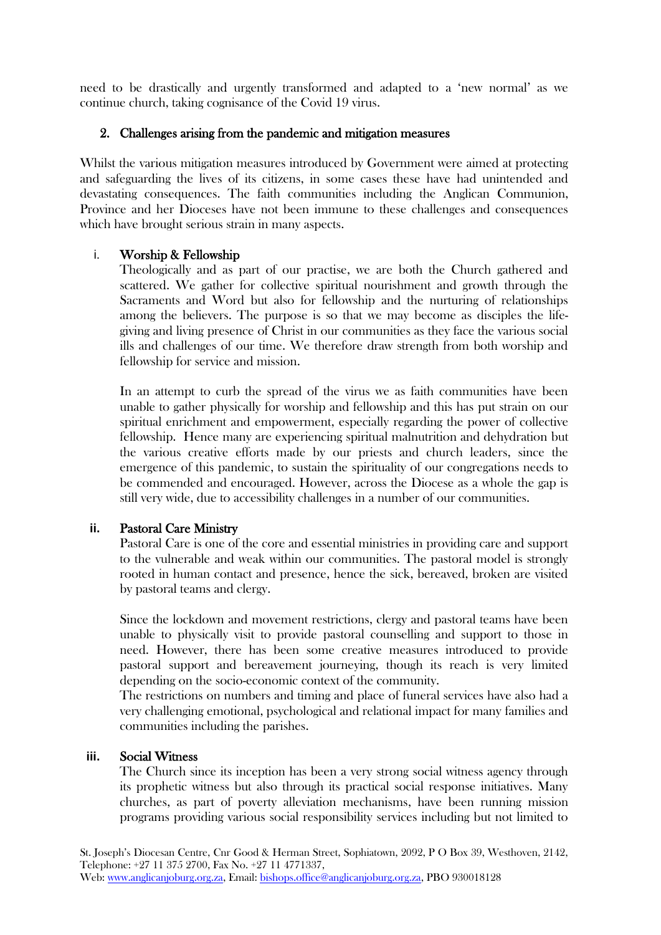need to be drastically and urgently transformed and adapted to a 'new normal' as we continue church, taking cognisance of the Covid 19 virus.

## 2. Challenges arising from the pandemic and mitigation measures

Whilst the various mitigation measures introduced by Government were aimed at protecting and safeguarding the lives of its citizens, in some cases these have had unintended and devastating consequences. The faith communities including the Anglican Communion, Province and her Dioceses have not been immune to these challenges and consequences which have brought serious strain in many aspects.

## i. Worship & Fellowship

Theologically and as part of our practise, we are both the Church gathered and scattered. We gather for collective spiritual nourishment and growth through the Sacraments and Word but also for fellowship and the nurturing of relationships among the believers. The purpose is so that we may become as disciples the lifegiving and living presence of Christ in our communities as they face the various social ills and challenges of our time. We therefore draw strength from both worship and fellowship for service and mission.

In an attempt to curb the spread of the virus we as faith communities have been unable to gather physically for worship and fellowship and this has put strain on our spiritual enrichment and empowerment, especially regarding the power of collective fellowship. Hence many are experiencing spiritual malnutrition and dehydration but the various creative efforts made by our priests and church leaders, since the emergence of this pandemic, to sustain the spirituality of our congregations needs to be commended and encouraged. However, across the Diocese as a whole the gap is still very wide, due to accessibility challenges in a number of our communities.

## **ii.** Pastoral Care Ministry

Pastoral Care is one of the core and essential ministries in providing care and support to the vulnerable and weak within our communities. The pastoral model is strongly rooted in human contact and presence, hence the sick, bereaved, broken are visited by pastoral teams and clergy.

Since the lockdown and movement restrictions, clergy and pastoral teams have been unable to physically visit to provide pastoral counselling and support to those in need. However, there has been some creative measures introduced to provide pastoral support and bereavement journeying, though its reach is very limited depending on the socio-economic context of the community.

The restrictions on numbers and timing and place of funeral services have also had a very challenging emotional, psychological and relational impact for many families and communities including the parishes.

#### **iii.** Social Witness

The Church since its inception has been a very strong social witness agency through its prophetic witness but also through its practical social response initiatives. Many churches, as part of poverty alleviation mechanisms, have been running mission programs providing various social responsibility services including but not limited to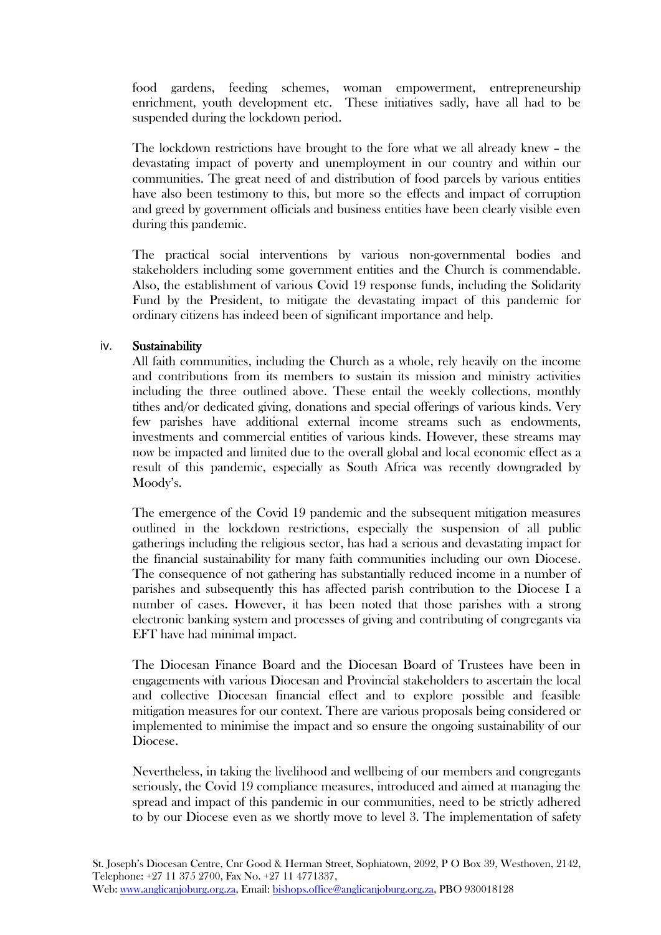food gardens, feeding schemes, woman empowerment, entrepreneurship enrichment, youth development etc. These initiatives sadly, have all had to be suspended during the lockdown period.

The lockdown restrictions have brought to the fore what we all already knew – the devastating impact of poverty and unemployment in our country and within our communities. The great need of and distribution of food parcels by various entities have also been testimony to this, but more so the effects and impact of corruption and greed by government officials and business entities have been clearly visible even during this pandemic.

The practical social interventions by various non-governmental bodies and stakeholders including some government entities and the Church is commendable. Also, the establishment of various Covid 19 response funds, including the Solidarity Fund by the President, to mitigate the devastating impact of this pandemic for ordinary citizens has indeed been of significant importance and help.

#### iv. Sustainability

All faith communities, including the Church as a whole, rely heavily on the income and contributions from its members to sustain its mission and ministry activities including the three outlined above. These entail the weekly collections, monthly tithes and/or dedicated giving, donations and special offerings of various kinds. Very few parishes have additional external income streams such as endowments, investments and commercial entities of various kinds. However, these streams may now be impacted and limited due to the overall global and local economic effect as a result of this pandemic, especially as South Africa was recently downgraded by Moody's.

The emergence of the Covid 19 pandemic and the subsequent mitigation measures outlined in the lockdown restrictions, especially the suspension of all public gatherings including the religious sector, has had a serious and devastating impact for the financial sustainability for many faith communities including our own Diocese. The consequence of not gathering has substantially reduced income in a number of parishes and subsequently this has affected parish contribution to the Diocese I a number of cases. However, it has been noted that those parishes with a strong electronic banking system and processes of giving and contributing of congregants via EFT have had minimal impact.

The Diocesan Finance Board and the Diocesan Board of Trustees have been in engagements with various Diocesan and Provincial stakeholders to ascertain the local and collective Diocesan financial effect and to explore possible and feasible mitigation measures for our context. There are various proposals being considered or implemented to minimise the impact and so ensure the ongoing sustainability of our Diocese.

Nevertheless, in taking the livelihood and wellbeing of our members and congregants seriously, the Covid 19 compliance measures, introduced and aimed at managing the spread and impact of this pandemic in our communities, need to be strictly adhered to by our Diocese even as we shortly move to level 3. The implementation of safety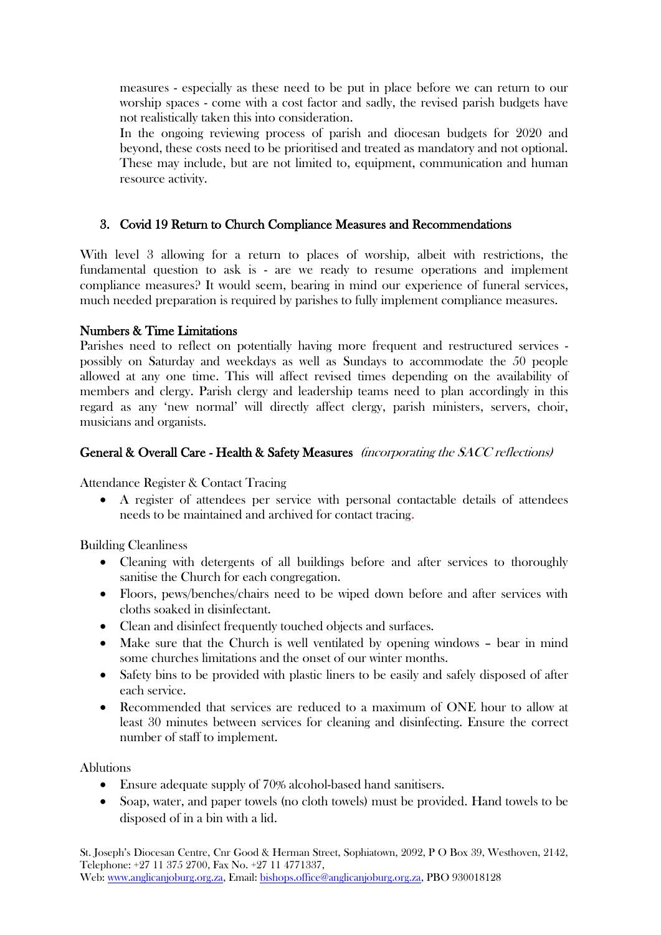measures - especially as these need to be put in place before we can return to our worship spaces - come with a cost factor and sadly, the revised parish budgets have not realistically taken this into consideration.

In the ongoing reviewing process of parish and diocesan budgets for 2020 and beyond, these costs need to be prioritised and treated as mandatory and not optional. These may include, but are not limited to, equipment, communication and human resource activity.

## 3. Covid 19 Return to Church Compliance Measures and Recommendations

With level 3 allowing for a return to places of worship, albeit with restrictions, the fundamental question to ask is - are we ready to resume operations and implement compliance measures? It would seem, bearing in mind our experience of funeral services, much needed preparation is required by parishes to fully implement compliance measures.

## Numbers & Time Limitations

Parishes need to reflect on potentially having more frequent and restructured services possibly on Saturday and weekdays as well as Sundays to accommodate the 50 people allowed at any one time. This will affect revised times depending on the availability of members and clergy. Parish clergy and leadership teams need to plan accordingly in this regard as any 'new normal' will directly affect clergy, parish ministers, servers, choir, musicians and organists.

## General & Overall Care - Health & Safety Measures (incorporating the SACC reflections)

Attendance Register & Contact Tracing

 A register of attendees per service with personal contactable details of attendees needs to be maintained and archived for contact tracing.

Building Cleanliness

- Cleaning with detergents of all buildings before and after services to thoroughly sanitise the Church for each congregation.
- Floors, pews/benches/chairs need to be wiped down before and after services with cloths soaked in disinfectant.
- Clean and disinfect frequently touched objects and surfaces.
- Make sure that the Church is well ventilated by opening windows bear in mind some churches limitations and the onset of our winter months.
- Safety bins to be provided with plastic liners to be easily and safely disposed of after each service.
- Recommended that services are reduced to a maximum of ONE hour to allow at least 30 minutes between services for cleaning and disinfecting. Ensure the correct number of staff to implement.

Ablutions

- Ensure adequate supply of 70% alcohol-based hand sanitisers.
- Soap, water, and paper towels (no cloth towels) must be provided. Hand towels to be disposed of in a bin with a lid.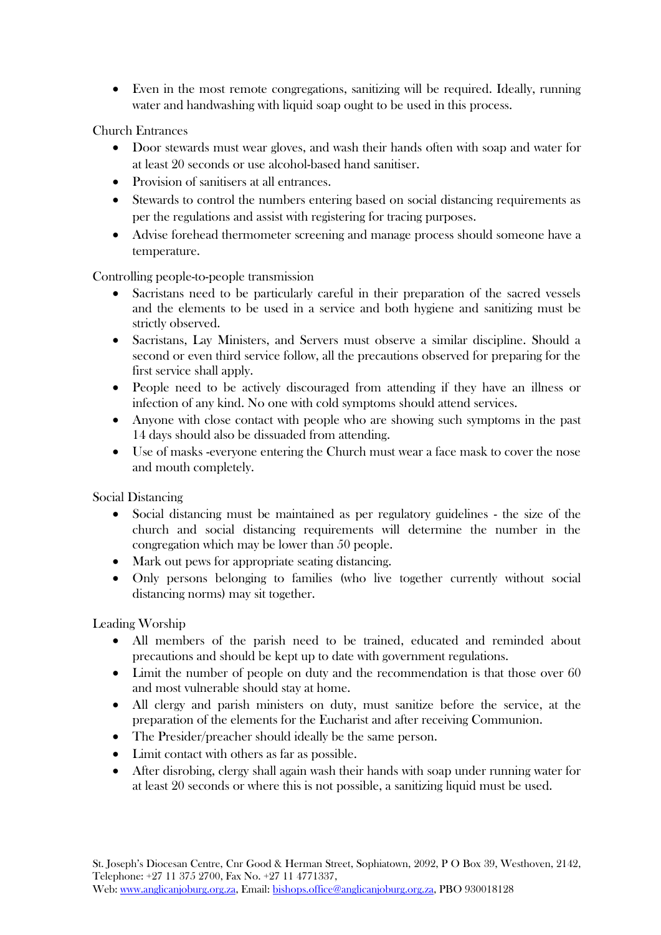Even in the most remote congregations, sanitizing will be required. Ideally, running water and handwashing with liquid soap ought to be used in this process.

Church Entrances

- Door stewards must wear gloves, and wash their hands often with soap and water for at least 20 seconds or use alcohol-based hand sanitiser.
- Provision of sanitisers at all entrances.
- Stewards to control the numbers entering based on social distancing requirements as per the regulations and assist with registering for tracing purposes.
- Advise forehead thermometer screening and manage process should someone have a temperature.

Controlling people-to-people transmission

- Sacristans need to be particularly careful in their preparation of the sacred vessels and the elements to be used in a service and both hygiene and sanitizing must be strictly observed.
- Sacristans, Lay Ministers, and Servers must observe a similar discipline. Should a second or even third service follow, all the precautions observed for preparing for the first service shall apply.
- People need to be actively discouraged from attending if they have an illness or infection of any kind. No one with cold symptoms should attend services.
- Anyone with close contact with people who are showing such symptoms in the past 14 days should also be dissuaded from attending.
- Use of masks -everyone entering the Church must wear a face mask to cover the nose and mouth completely.

Social Distancing

- Social distancing must be maintained as per regulatory guidelines the size of the church and social distancing requirements will determine the number in the congregation which may be lower than 50 people.
- Mark out pews for appropriate seating distancing.
- Only persons belonging to families (who live together currently without social distancing norms) may sit together.

Leading Worship

- All members of the parish need to be trained, educated and reminded about precautions and should be kept up to date with government regulations.
- Limit the number of people on duty and the recommendation is that those over 60 and most vulnerable should stay at home.
- All clergy and parish ministers on duty, must sanitize before the service, at the preparation of the elements for the Eucharist and after receiving Communion.
- The Presider/preacher should ideally be the same person.
- Limit contact with others as far as possible.
- After disrobing, clergy shall again wash their hands with soap under running water for at least 20 seconds or where this is not possible, a sanitizing liquid must be used.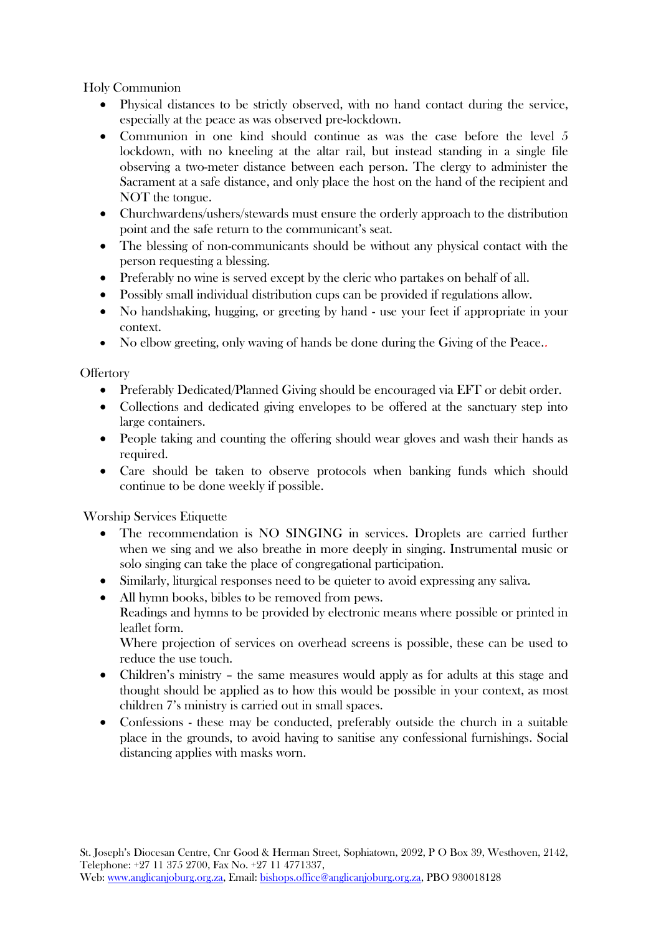Holy Communion

- Physical distances to be strictly observed, with no hand contact during the service, especially at the peace as was observed pre-lockdown.
- Communion in one kind should continue as was the case before the level 5 lockdown, with no kneeling at the altar rail, but instead standing in a single file observing a two-meter distance between each person. The clergy to administer the Sacrament at a safe distance, and only place the host on the hand of the recipient and NOT the tongue.
- Churchwardens/ushers/stewards must ensure the orderly approach to the distribution point and the safe return to the communicant's seat.
- The blessing of non-communicants should be without any physical contact with the person requesting a blessing.
- Preferably no wine is served except by the cleric who partakes on behalf of all.
- Possibly small individual distribution cups can be provided if regulations allow.
- No handshaking, hugging, or greeting by hand use your feet if appropriate in your context.
- No elbow greeting, only waving of hands be done during the Giving of the Peace..

## **Offertory**

- Preferably Dedicated/Planned Giving should be encouraged via EFT or debit order.
- Collections and dedicated giving envelopes to be offered at the sanctuary step into large containers.
- People taking and counting the offering should wear gloves and wash their hands as required.
- Care should be taken to observe protocols when banking funds which should continue to be done weekly if possible.

Worship Services Etiquette

- The recommendation is NO SINGING in services. Droplets are carried further when we sing and we also breathe in more deeply in singing. Instrumental music or solo singing can take the place of congregational participation.
- Similarly, liturgical responses need to be quieter to avoid expressing any saliva.
- All hymn books, bibles to be removed from pews.

Readings and hymns to be provided by electronic means where possible or printed in leaflet form.

Where projection of services on overhead screens is possible, these can be used to reduce the use touch.

- Children's ministry the same measures would apply as for adults at this stage and thought should be applied as to how this would be possible in your context, as most children 7's ministry is carried out in small spaces.
- Confessions these may be conducted, preferably outside the church in a suitable place in the grounds, to avoid having to sanitise any confessional furnishings. Social distancing applies with masks worn.